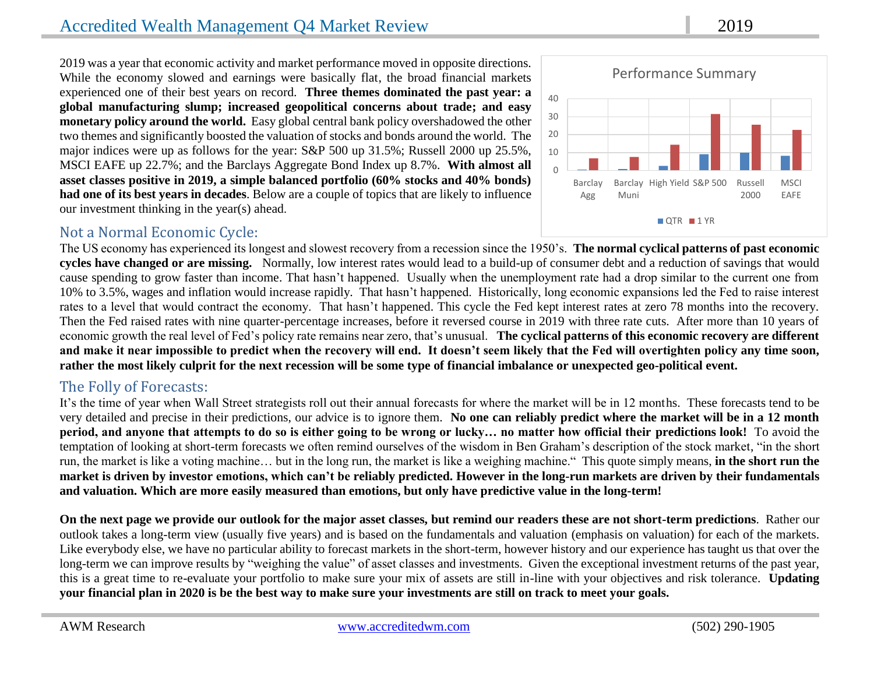2019 was a year that economic activity and market performance moved in opposite directions. While the economy slowed and earnings were basically flat, the broad financial markets experienced one of their best years on record. **Three themes dominated the past year: a global manufacturing slump; increased geopolitical concerns about trade; and easy monetary policy around the world.** Easy global central bank policy overshadowed the other two themes and significantly boosted the valuation of stocks and bonds around the world. The major indices were up as follows for the year: S&P 500 up 31.5%; Russell 2000 up 25.5%, MSCI EAFE up 22.7%; and the Barclays Aggregate Bond Index up 8.7%. **With almost all asset classes positive in 2019, a simple balanced portfolio (60% stocks and 40% bonds) had one of its best years in decades**. Below are a couple of topics that are likely to influence our investment thinking in the year(s) ahead.

## Not a Normal Economic Cycle:



The US economy has experienced its longest and slowest recovery from a recession since the 1950's. **The normal cyclical patterns of past economic cycles have changed or are missing.** Normally, low interest rates would lead to a build-up of consumer debt and a reduction of savings that would cause spending to grow faster than income. That hasn't happened. Usually when the unemployment rate had a drop similar to the current one from 10% to 3.5%, wages and inflation would increase rapidly. That hasn't happened. Historically, long economic expansions led the Fed to raise interest rates to a level that would contract the economy. That hasn't happened. This cycle the Fed kept interest rates at zero 78 months into the recovery. Then the Fed raised rates with nine quarter-percentage increases, before it reversed course in 2019 with three rate cuts. After more than 10 years of economic growth the real level of Fed's policy rate remains near zero, that's unusual. **The cyclical patterns of this economic recovery are different and make it near impossible to predict when the recovery will end. It doesn't seem likely that the Fed will overtighten policy any time soon, rather the most likely culprit for the next recession will be some type of financial imbalance or unexpected geo-political event.**

### The Folly of Forecasts:

It's the time of year when Wall Street strategists roll out their annual forecasts for where the market will be in 12 months. These forecasts tend to be very detailed and precise in their predictions, our advice is to ignore them. **No one can reliably predict where the market will be in a 12 month period, and anyone that attempts to do so is either going to be wrong or lucky… no matter how official their predictions look!** To avoid the temptation of looking at short-term forecasts we often remind ourselves of the wisdom in Ben Graham's description of the stock market, "in the short run, the market is like a voting machine… but in the long run, the market is like a weighing machine." This quote simply means, **in the short run the market is driven by investor emotions, which can't be reliably predicted. However in the long-run markets are driven by their fundamentals and valuation. Which are more easily measured than emotions, but only have predictive value in the long-term!**

**On the next page we provide our outlook for the major asset classes, but remind our readers these are not short-term predictions**. Rather our outlook takes a long-term view (usually five years) and is based on the fundamentals and valuation (emphasis on valuation) for each of the markets. Like everybody else, we have no particular ability to forecast markets in the short-term, however history and our experience has taught us that over the long-term we can improve results by "weighing the value" of asset classes and investments. Given the exceptional investment returns of the past year, this is a great time to re-evaluate your portfolio to make sure your mix of assets are still in-line with your objectives and risk tolerance. **Updating your financial plan in 2020 is be the best way to make sure your investments are still on track to meet your goals.**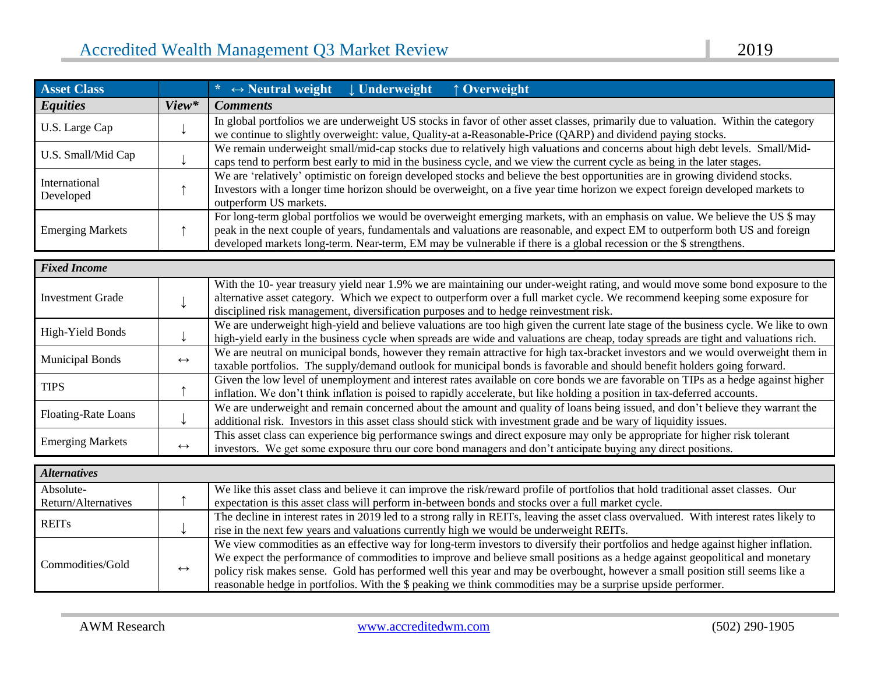| <b>Asset Class</b>         |       | * $\leftrightarrow$ Neutral weight $\downarrow$ Underweight<br>↑ Overweight                                                                                                                                                                                                                                                                                                         |  |  |
|----------------------------|-------|-------------------------------------------------------------------------------------------------------------------------------------------------------------------------------------------------------------------------------------------------------------------------------------------------------------------------------------------------------------------------------------|--|--|
| <b>Equities</b>            | View* | <b>Comments</b>                                                                                                                                                                                                                                                                                                                                                                     |  |  |
| U.S. Large Cap             |       | In global portfolios we are underweight US stocks in favor of other asset classes, primarily due to valuation. Within the category<br>we continue to slightly overweight: value, Quality-at a-Reasonable-Price (QARP) and dividend paying stocks.                                                                                                                                   |  |  |
| U.S. Small/Mid Cap         |       | We remain underweight small/mid-cap stocks due to relatively high valuations and concerns about high debt levels. Small/Mid-<br>caps tend to perform best early to mid in the business cycle, and we view the current cycle as being in the later stages.                                                                                                                           |  |  |
| International<br>Developed |       | We are 'relatively' optimistic on foreign developed stocks and believe the best opportunities are in growing dividend stocks.<br>Investors with a longer time horizon should be overweight, on a five year time horizon we expect foreign developed markets to<br>outperform US markets.                                                                                            |  |  |
| <b>Emerging Markets</b>    |       | For long-term global portfolios we would be overweight emerging markets, with an emphasis on value. We believe the US \$ may<br>peak in the next couple of years, fundamentals and valuations are reasonable, and expect EM to outperform both US and foreign<br>developed markets long-term. Near-term, EM may be vulnerable if there is a global recession or the \$ strengthens. |  |  |

| <b>Fixed Income</b>     |                   |                                                                                                                                      |
|-------------------------|-------------------|--------------------------------------------------------------------------------------------------------------------------------------|
|                         |                   | With the 10- year treasury yield near 1.9% we are maintaining our under-weight rating, and would move some bond exposure to the      |
| <b>Investment Grade</b> |                   | alternative asset category. Which we expect to outperform over a full market cycle. We recommend keeping some exposure for           |
|                         |                   | disciplined risk management, diversification purposes and to hedge reinvestment risk.                                                |
| High-Yield Bonds        |                   | We are underweight high-yield and believe valuations are too high given the current late stage of the business cycle. We like to own |
|                         |                   | high-yield early in the business cycle when spreads are wide and valuations are cheap, today spreads are tight and valuations rich.  |
| <b>Municipal Bonds</b>  | $\leftrightarrow$ | We are neutral on municipal bonds, however they remain attractive for high tax-bracket investors and we would overweight them in     |
|                         |                   | taxable portfolios. The supply/demand outlook for municipal bonds is favorable and should benefit holders going forward.             |
| <b>TIPS</b>             |                   | Given the low level of unemployment and interest rates available on core bonds we are favorable on TIPs as a hedge against higher    |
|                         |                   | inflation. We don't think inflation is poised to rapidly accelerate, but like holding a position in tax-deferred accounts.           |
|                         |                   | We are underweight and remain concerned about the amount and quality of loans being issued, and don't believe they warrant the       |
| Floating-Rate Loans     |                   | additional risk. Investors in this asset class should stick with investment grade and be wary of liquidity issues.                   |
| <b>Emerging Markets</b> |                   | This asset class can experience big performance swings and direct exposure may only be appropriate for higher risk tolerant          |
|                         | $\leftrightarrow$ | investors. We get some exposure thru our core bond managers and don't anticipate buying any direct positions.                        |

| <b>Alternatives</b>              |                   |                                                                                                                                                                                                                                                                                                                                                                                                                                                                                                                    |
|----------------------------------|-------------------|--------------------------------------------------------------------------------------------------------------------------------------------------------------------------------------------------------------------------------------------------------------------------------------------------------------------------------------------------------------------------------------------------------------------------------------------------------------------------------------------------------------------|
| Absolute-<br>Return/Alternatives |                   | We like this asset class and believe it can improve the risk/reward profile of portfolios that hold traditional asset classes. Our<br>expectation is this asset class will perform in-between bonds and stocks over a full market cycle.                                                                                                                                                                                                                                                                           |
|                                  |                   |                                                                                                                                                                                                                                                                                                                                                                                                                                                                                                                    |
| <b>REITS</b>                     |                   | The decline in interest rates in 2019 led to a strong rally in REITs, leaving the asset class overvalued. With interest rates likely to<br>rise in the next few years and valuations currently high we would be underweight REITs.                                                                                                                                                                                                                                                                                 |
| Commodities/Gold                 | $\leftrightarrow$ | We view commodities as an effective way for long-term investors to diversify their portfolios and hedge against higher inflation.<br>We expect the performance of commodities to improve and believe small positions as a hedge against geopolitical and monetary<br>policy risk makes sense. Gold has performed well this year and may be overbought, however a small position still seems like a<br>reasonable hedge in portfolios. With the \$ peaking we think commodities may be a surprise upside performer. |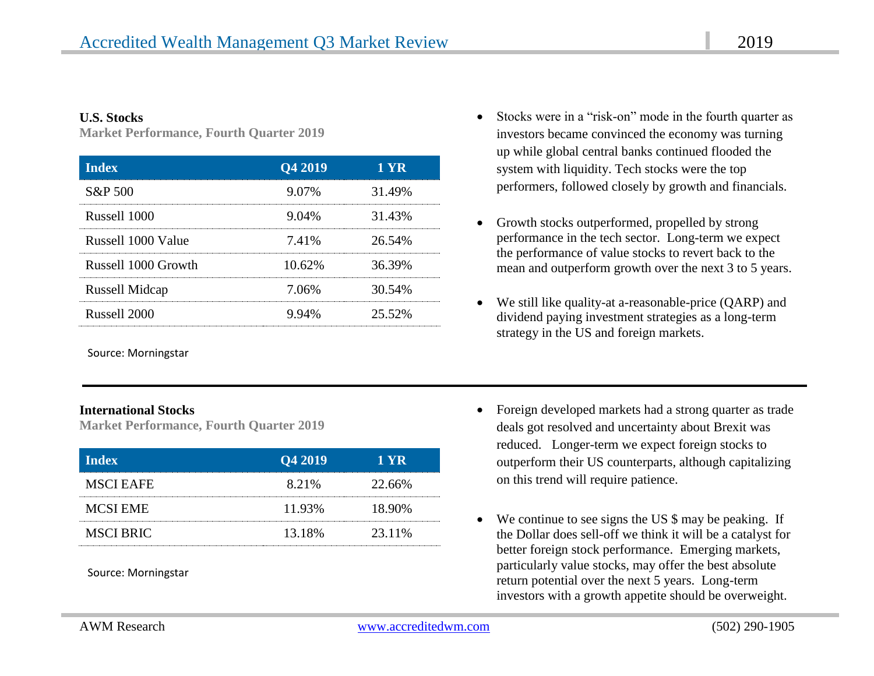#### **U.S. Stocks**

**Market Performance, Fourth Quarter 2019**

| <b>Index</b>          | Q4 2019  | 1 YR   |
|-----------------------|----------|--------|
| S&P 500               | 9.07%    | 31.49% |
| Russell 1000          | $9.04\%$ | 31.43% |
| Russell 1000 Value    | 7.41%    | 26.54% |
| Russell 1000 Growth   | 10.62%   | 36.39% |
| <b>Russell Midcap</b> | 7.06%    | 30.54% |
| Russell 2000          | 9.94%    | 25.52% |

Source: Morningstar

#### **International Stocks**

**Market Performance, Fourth Quarter 2019**

| <b>Index</b>     | Q4 2019 | <b>1 YR</b> |
|------------------|---------|-------------|
| <b>MSCI EAFE</b> | 8.21%   | 22.66%      |
| <b>MCSI EME</b>  | 11.93%  | 18.90%      |
| <b>MSCI BRIC</b> | 13.18%  | 23.11%      |

Source: Morningstar

- Stocks were in a "risk-on" mode in the fourth quarter as investors became convinced the economy was turning up while global central banks continued flooded the system with liquidity. Tech stocks were the top performers, followed closely by growth and financials.
- Growth stocks outperformed, propelled by strong performance in the tech sector. Long-term we expect the performance of value stocks to revert back to the mean and outperform growth over the next 3 to 5 years.
- We still like quality-at a-reasonable-price (QARP) and dividend paying investment strategies as a long-term strategy in the US and foreign markets.
- Foreign developed markets had a strong quarter as trade deals got resolved and uncertainty about Brexit was reduced. Longer-term we expect foreign stocks to outperform their US counterparts, although capitalizing on this trend will require patience.
- We continue to see signs the US \$ may be peaking. If the Dollar does sell-off we think it will be a catalyst for better foreign stock performance. Emerging markets, particularly value stocks, may offer the best absolute return potential over the next 5 years. Long-term investors with a growth appetite should be overweight.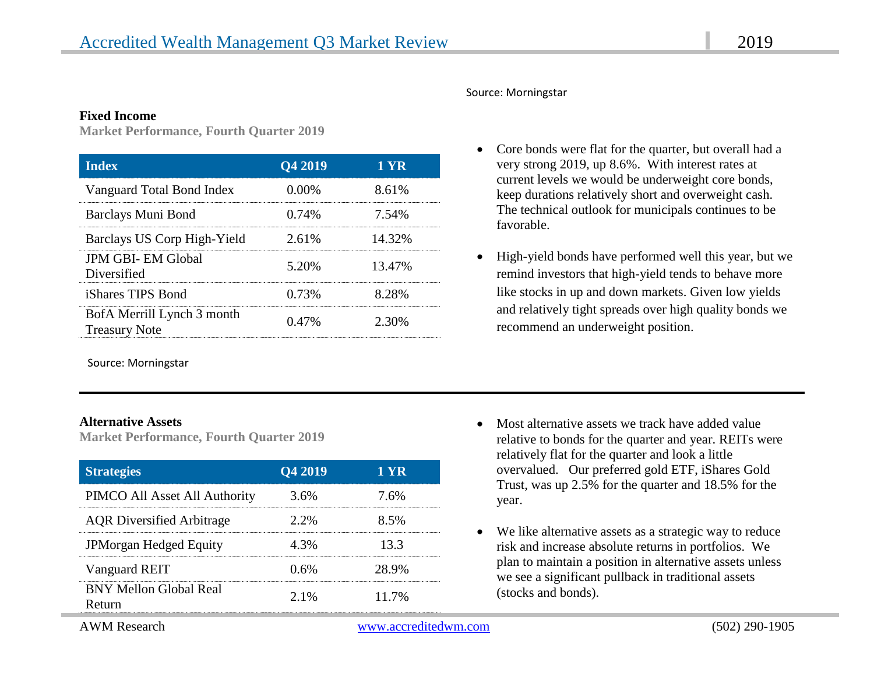#### **Fixed Income**

**Market Performance, Fourth Quarter 2019**

| <b>Index</b>                                       | Q4 2019  | 1 YR   |
|----------------------------------------------------|----------|--------|
| Vanguard Total Bond Index                          | $0.00\%$ | 8.61%  |
| Barclays Muni Bond                                 | 0.74%    | 7.54%  |
| Barclays US Corp High-Yield                        | 2.61%    | 14.32% |
| <b>JPM GBI- EM Global</b><br>Diversified           | 5.20%    | 13.47% |
| <i>iShares TIPS Bond</i>                           | 0.73%    | 8.28%  |
| BofA Merrill Lynch 3 month<br><b>Treasury Note</b> | 0.47%    | 2.30%  |

Source: Morningstar

#### **Alternative Assets**

**Market Performance, Fourth Quarter 2019**

| <b>Strategies</b>                       | Q4 2019 | 1 YR  |
|-----------------------------------------|---------|-------|
| PIMCO All Asset All Authority           | 3.6%    | 7.6%  |
| <b>AQR</b> Diversified Arbitrage        | $2.2\%$ | 8.5%  |
| JPMorgan Hedged Equity                  | 4 3%    | 13 3  |
| Vanguard REIT                           | 0.6%    | 28.9% |
| <b>BNY Mellon Global Real</b><br>Return | $2.1\%$ | 11.7% |

#### Source: Morningstar

- Core bonds were flat for the quarter, but overall had a very strong 2019, up 8.6%. With interest rates at current levels we would be underweight core bonds, keep durations relatively short and overweight cash. The technical outlook for municipals continues to be favorable.
- High-yield bonds have performed well this year, but we remind investors that high-yield tends to behave more like stocks in up and down markets. Given low yields and relatively tight spreads over high quality bonds we recommend an underweight position.

- Most alternative assets we track have added value relative to bonds for the quarter and year. REITs were relatively flat for the quarter and look a little overvalued. Our preferred gold ETF, iShares Gold Trust, was up 2.5% for the quarter and 18.5% for the year.
- We like alternative assets as a strategic way to reduce risk and increase absolute returns in portfolios. We plan to maintain a position in alternative assets unless we see a significant pullback in traditional assets (stocks and bonds).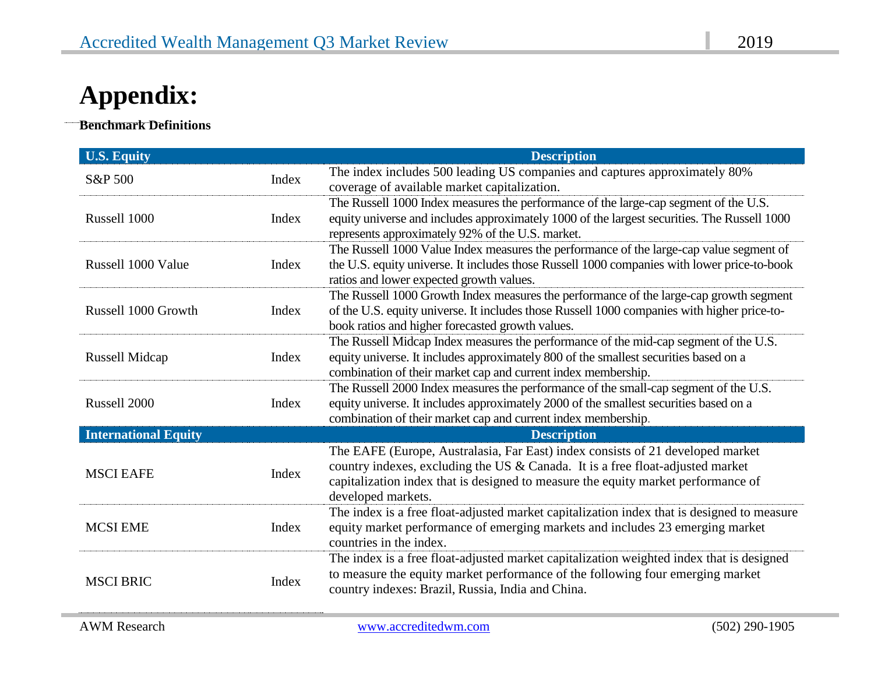# **Appendix:**

**Benchmark Definitions**

 $\ddot{\phantom{0}}$ 

| <b>U.S. Equity</b>          |       | <b>Description</b>                                                                                                                                                                                                                                                          |
|-----------------------------|-------|-----------------------------------------------------------------------------------------------------------------------------------------------------------------------------------------------------------------------------------------------------------------------------|
| S&P 500                     | Index | The index includes 500 leading US companies and captures approximately 80%<br>coverage of available market capitalization.                                                                                                                                                  |
| Russell 1000                | Index | The Russell 1000 Index measures the performance of the large-cap segment of the U.S.<br>equity universe and includes approximately 1000 of the largest securities. The Russell 1000<br>represents approximately 92% of the U.S. market.                                     |
| Russell 1000 Value          | Index | The Russell 1000 Value Index measures the performance of the large-cap value segment of<br>the U.S. equity universe. It includes those Russell 1000 companies with lower price-to-book<br>ratios and lower expected growth values.                                          |
| Russell 1000 Growth         | Index | The Russell 1000 Growth Index measures the performance of the large-cap growth segment<br>of the U.S. equity universe. It includes those Russell 1000 companies with higher price-to-<br>book ratios and higher forecasted growth values.                                   |
| Russell Midcap              | Index | The Russell Midcap Index measures the performance of the mid-cap segment of the U.S.<br>equity universe. It includes approximately 800 of the smallest securities based on a<br>combination of their market cap and current index membership.                               |
| Russell 2000                | Index | The Russell 2000 Index measures the performance of the small-cap segment of the U.S.<br>equity universe. It includes approximately 2000 of the smallest securities based on a<br>combination of their market cap and current index membership.                              |
| <b>International Equity</b> |       | <b>Description</b>                                                                                                                                                                                                                                                          |
| <b>MSCI EAFE</b>            | Index | The EAFE (Europe, Australasia, Far East) index consists of 21 developed market<br>country indexes, excluding the US & Canada. It is a free float-adjusted market<br>capitalization index that is designed to measure the equity market performance of<br>developed markets. |
| <b>MCSI EME</b>             | Index | The index is a free float-adjusted market capitalization index that is designed to measure<br>equity market performance of emerging markets and includes 23 emerging market<br>countries in the index.                                                                      |
| <b>MSCI BRIC</b>            | Index | The index is a free float-adjusted market capitalization weighted index that is designed<br>to measure the equity market performance of the following four emerging market<br>country indexes: Brazil, Russia, India and China.                                             |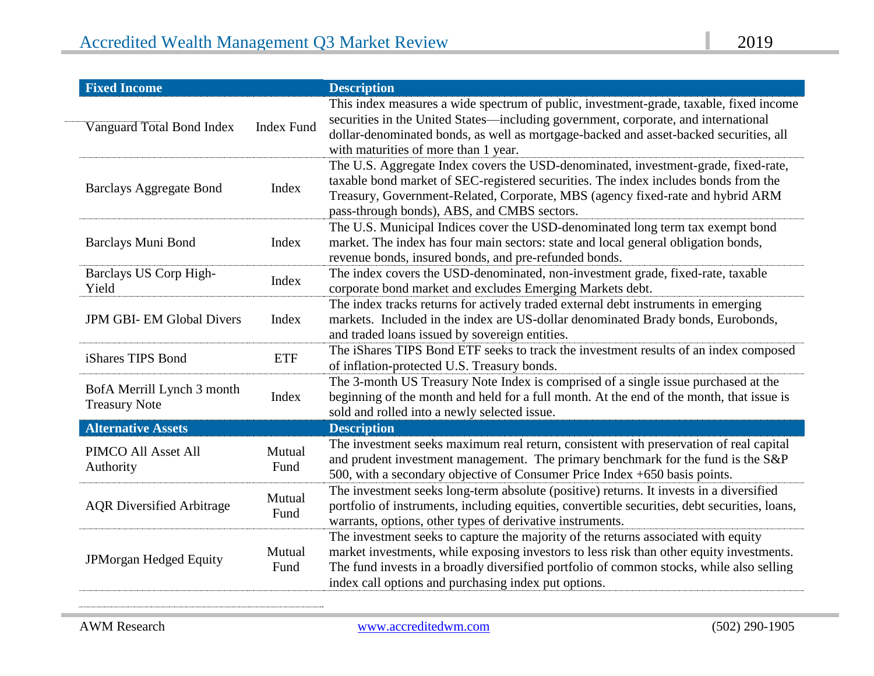| <b>Fixed Income</b>                                |                   | <b>Description</b>                                                                                                                                                                                                                                                                                                                 |
|----------------------------------------------------|-------------------|------------------------------------------------------------------------------------------------------------------------------------------------------------------------------------------------------------------------------------------------------------------------------------------------------------------------------------|
| Vanguard Total Bond Index                          | <b>Index Fund</b> | This index measures a wide spectrum of public, investment-grade, taxable, fixed income<br>securities in the United States-including government, corporate, and international<br>dollar-denominated bonds, as well as mortgage-backed and asset-backed securities, all<br>with maturities of more than 1 year.                      |
| <b>Barclays Aggregate Bond</b>                     | Index             | The U.S. Aggregate Index covers the USD-denominated, investment-grade, fixed-rate,<br>taxable bond market of SEC-registered securities. The index includes bonds from the<br>Treasury, Government-Related, Corporate, MBS (agency fixed-rate and hybrid ARM<br>pass-through bonds), ABS, and CMBS sectors.                         |
| Barclays Muni Bond                                 | Index             | The U.S. Municipal Indices cover the USD-denominated long term tax exempt bond<br>market. The index has four main sectors: state and local general obligation bonds,<br>revenue bonds, insured bonds, and pre-refunded bonds.                                                                                                      |
| Barclays US Corp High-<br>Yield                    | Index             | The index covers the USD-denominated, non-investment grade, fixed-rate, taxable<br>corporate bond market and excludes Emerging Markets debt.                                                                                                                                                                                       |
| <b>JPM GBI-EM Global Divers</b>                    | Index             | The index tracks returns for actively traded external debt instruments in emerging<br>markets. Included in the index are US-dollar denominated Brady bonds, Eurobonds,<br>and traded loans issued by sovereign entities.                                                                                                           |
| iShares TIPS Bond                                  | <b>ETF</b>        | The iShares TIPS Bond ETF seeks to track the investment results of an index composed<br>of inflation-protected U.S. Treasury bonds.                                                                                                                                                                                                |
| BofA Merrill Lynch 3 month<br><b>Treasury Note</b> | Index             | The 3-month US Treasury Note Index is comprised of a single issue purchased at the<br>beginning of the month and held for a full month. At the end of the month, that issue is<br>sold and rolled into a newly selected issue.                                                                                                     |
| <b>Alternative Assets</b>                          |                   | <b>Description</b>                                                                                                                                                                                                                                                                                                                 |
| PIMCO All Asset All<br>Authority                   | Mutual<br>Fund    | The investment seeks maximum real return, consistent with preservation of real capital<br>and prudent investment management. The primary benchmark for the fund is the S&P<br>500, with a secondary objective of Consumer Price Index +650 basis points.                                                                           |
| <b>AQR</b> Diversified Arbitrage                   | Mutual<br>Fund    | The investment seeks long-term absolute (positive) returns. It invests in a diversified<br>portfolio of instruments, including equities, convertible securities, debt securities, loans,<br>warrants, options, other types of derivative instruments.                                                                              |
| JPMorgan Hedged Equity                             | Mutual<br>Fund    | The investment seeks to capture the majority of the returns associated with equity<br>market investments, while exposing investors to less risk than other equity investments.<br>The fund invests in a broadly diversified portfolio of common stocks, while also selling<br>index call options and purchasing index put options. |